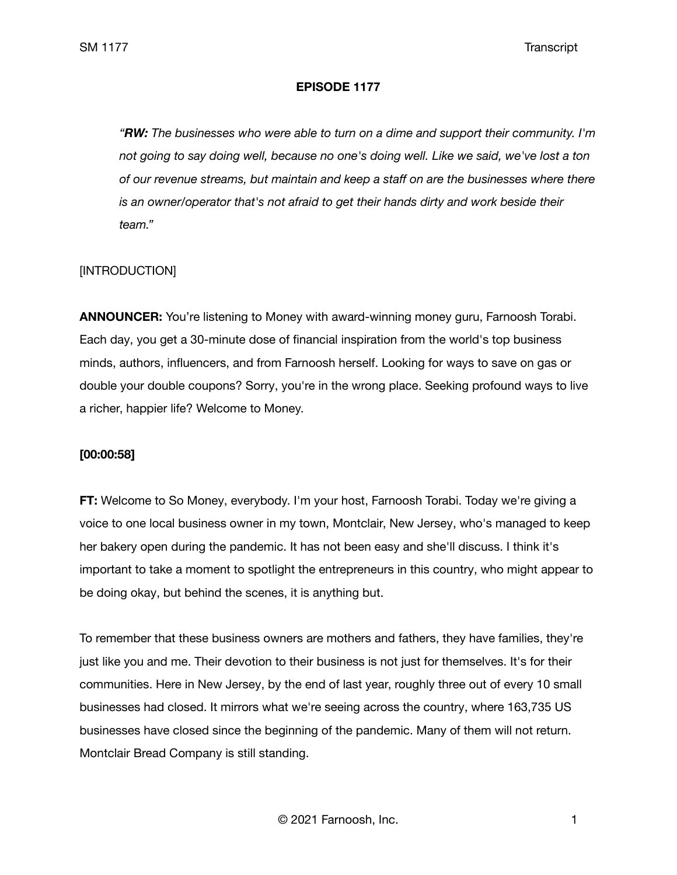### **EPISODE 1177**

*"RW: The businesses who were able to turn on a dime and support their community. I'm not going to say doing well, because no one's doing well. Like we said, we've lost a ton of our revenue streams, but maintain and keep a staff on are the businesses where there is an owner/operator that's not afraid to get their hands dirty and work beside their team."*

## [INTRODUCTION]

**ANNOUNCER:** You're listening to Money with award-winning money guru, Farnoosh Torabi. Each day, you get a 30-minute dose of financial inspiration from the world's top business minds, authors, influencers, and from Farnoosh herself. Looking for ways to save on gas or double your double coupons? Sorry, you're in the wrong place. Seeking profound ways to live a richer, happier life? Welcome to Money.

### **[00:00:58]**

**FT:** Welcome to So Money, everybody. I'm your host, Farnoosh Torabi. Today we're giving a voice to one local business owner in my town, Montclair, New Jersey, who's managed to keep her bakery open during the pandemic. It has not been easy and she'll discuss. I think it's important to take a moment to spotlight the entrepreneurs in this country, who might appear to be doing okay, but behind the scenes, it is anything but.

To remember that these business owners are mothers and fathers, they have families, they're just like you and me. Their devotion to their business is not just for themselves. It's for their communities. Here in New Jersey, by the end of last year, roughly three out of every 10 small businesses had closed. It mirrors what we're seeing across the country, where 163,735 US businesses have closed since the beginning of the pandemic. Many of them will not return. Montclair Bread Company is still standing.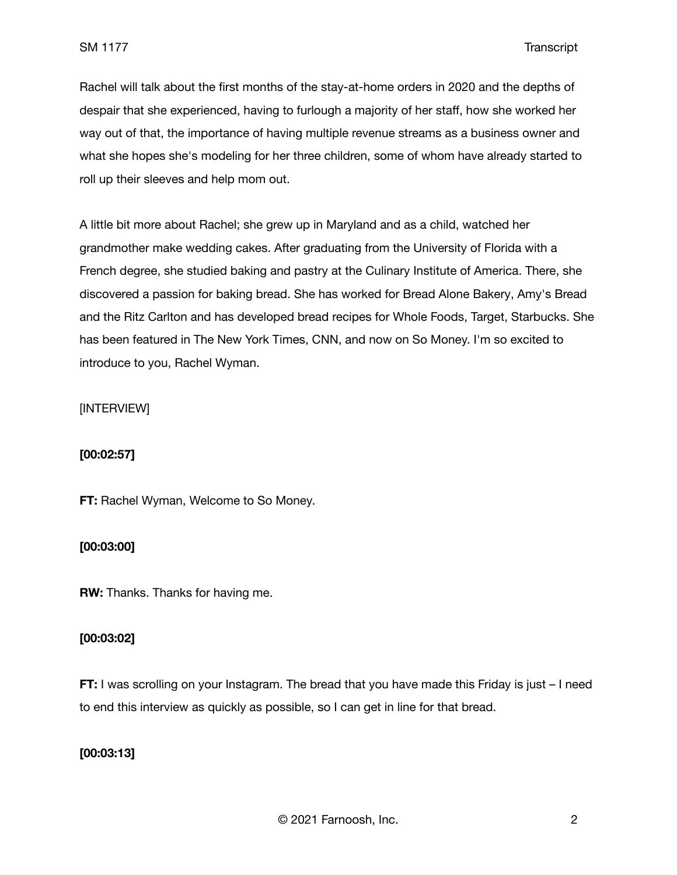Rachel will talk about the first months of the stay-at-home orders in 2020 and the depths of despair that she experienced, having to furlough a majority of her staff, how she worked her way out of that, the importance of having multiple revenue streams as a business owner and what she hopes she's modeling for her three children, some of whom have already started to roll up their sleeves and help mom out.

A little bit more about Rachel; she grew up in Maryland and as a child, watched her grandmother make wedding cakes. After graduating from the University of Florida with a French degree, she studied baking and pastry at the Culinary Institute of America. There, she discovered a passion for baking bread. She has worked for Bread Alone Bakery, Amy's Bread and the Ritz Carlton and has developed bread recipes for Whole Foods, Target, Starbucks. She has been featured in The New York Times, CNN, and now on So Money. I'm so excited to introduce to you, Rachel Wyman.

## [INTERVIEW]

### **[00:02:57]**

**FT:** Rachel Wyman, Welcome to So Money.

## **[00:03:00]**

**RW:** Thanks. Thanks for having me.

### **[00:03:02]**

**FT:** I was scrolling on your Instagram. The bread that you have made this Friday is just – I need to end this interview as quickly as possible, so I can get in line for that bread.

## **[00:03:13]**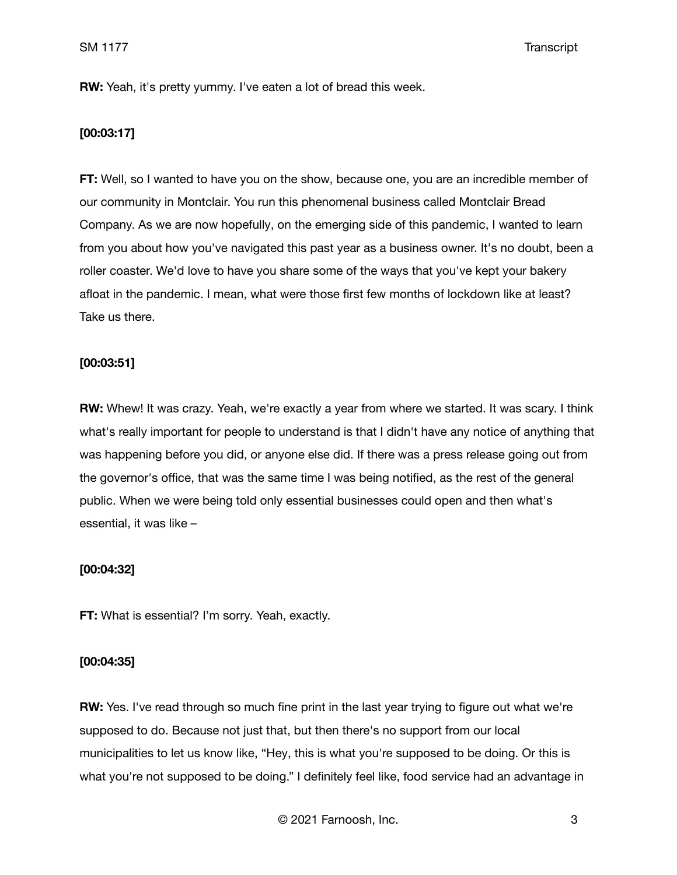**RW:** Yeah, it's pretty yummy. I've eaten a lot of bread this week.

## **[00:03:17]**

**FT:** Well, so I wanted to have you on the show, because one, you are an incredible member of our community in Montclair. You run this phenomenal business called Montclair Bread Company. As we are now hopefully, on the emerging side of this pandemic, I wanted to learn from you about how you've navigated this past year as a business owner. It's no doubt, been a roller coaster. We'd love to have you share some of the ways that you've kept your bakery afloat in the pandemic. I mean, what were those first few months of lockdown like at least? Take us there.

#### **[00:03:51]**

**RW:** Whew! It was crazy. Yeah, we're exactly a year from where we started. It was scary. I think what's really important for people to understand is that I didn't have any notice of anything that was happening before you did, or anyone else did. If there was a press release going out from the governor's office, that was the same time I was being notified, as the rest of the general public. When we were being told only essential businesses could open and then what's essential, it was like –

#### **[00:04:32]**

**FT:** What is essential? I'm sorry. Yeah, exactly.

#### **[00:04:35]**

**RW:** Yes. I've read through so much fine print in the last year trying to figure out what we're supposed to do. Because not just that, but then there's no support from our local municipalities to let us know like, "Hey, this is what you're supposed to be doing. Or this is what you're not supposed to be doing." I definitely feel like, food service had an advantage in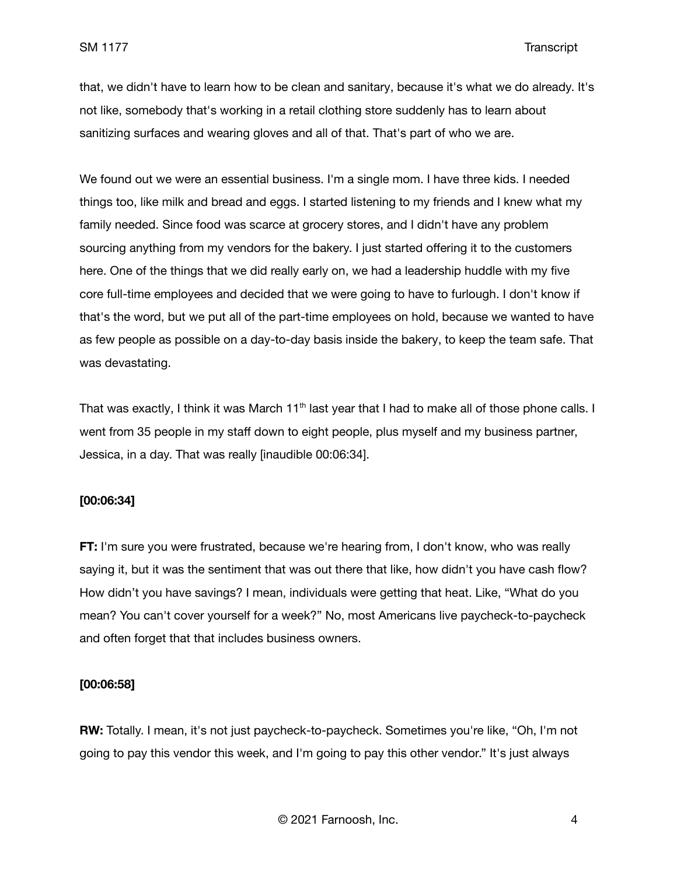that, we didn't have to learn how to be clean and sanitary, because it's what we do already. It's not like, somebody that's working in a retail clothing store suddenly has to learn about sanitizing surfaces and wearing gloves and all of that. That's part of who we are.

We found out we were an essential business. I'm a single mom. I have three kids. I needed things too, like milk and bread and eggs. I started listening to my friends and I knew what my family needed. Since food was scarce at grocery stores, and I didn't have any problem sourcing anything from my vendors for the bakery. I just started offering it to the customers here. One of the things that we did really early on, we had a leadership huddle with my five core full-time employees and decided that we were going to have to furlough. I don't know if that's the word, but we put all of the part-time employees on hold, because we wanted to have as few people as possible on a day-to-day basis inside the bakery, to keep the team safe. That was devastating.

That was exactly, I think it was March 11<sup>th</sup> last year that I had to make all of those phone calls. I went from 35 people in my staff down to eight people, plus myself and my business partner, Jessica, in a day. That was really [inaudible 00:06:34].

#### **[00:06:34]**

**FT:** I'm sure you were frustrated, because we're hearing from, I don't know, who was really saying it, but it was the sentiment that was out there that like, how didn't you have cash flow? How didn't you have savings? I mean, individuals were getting that heat. Like, "What do you mean? You can't cover yourself for a week?" No, most Americans live paycheck-to-paycheck and often forget that that includes business owners.

#### **[00:06:58]**

**RW:** Totally. I mean, it's not just paycheck-to-paycheck. Sometimes you're like, "Oh, I'm not going to pay this vendor this week, and I'm going to pay this other vendor." It's just always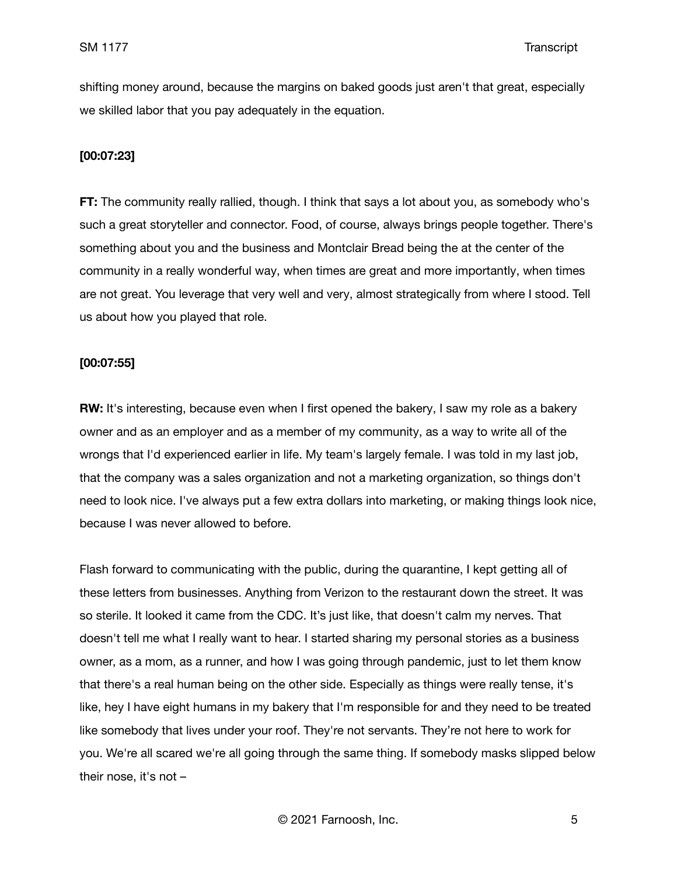shifting money around, because the margins on baked goods just aren't that great, especially we skilled labor that you pay adequately in the equation.

#### **[00:07:23]**

**FT:** The community really rallied, though. I think that says a lot about you, as somebody who's such a great storyteller and connector. Food, of course, always brings people together. There's something about you and the business and Montclair Bread being the at the center of the community in a really wonderful way, when times are great and more importantly, when times are not great. You leverage that very well and very, almost strategically from where I stood. Tell us about how you played that role.

#### **[00:07:55]**

**RW:** It's interesting, because even when I first opened the bakery, I saw my role as a bakery owner and as an employer and as a member of my community, as a way to write all of the wrongs that I'd experienced earlier in life. My team's largely female. I was told in my last job, that the company was a sales organization and not a marketing organization, so things don't need to look nice. I've always put a few extra dollars into marketing, or making things look nice, because I was never allowed to before.

Flash forward to communicating with the public, during the quarantine, I kept getting all of these letters from businesses. Anything from Verizon to the restaurant down the street. It was so sterile. It looked it came from the CDC. It's just like, that doesn't calm my nerves. That doesn't tell me what I really want to hear. I started sharing my personal stories as a business owner, as a mom, as a runner, and how I was going through pandemic, just to let them know that there's a real human being on the other side. Especially as things were really tense, it's like, hey I have eight humans in my bakery that I'm responsible for and they need to be treated like somebody that lives under your roof. They're not servants. They're not here to work for you. We're all scared we're all going through the same thing. If somebody masks slipped below their nose, it's not –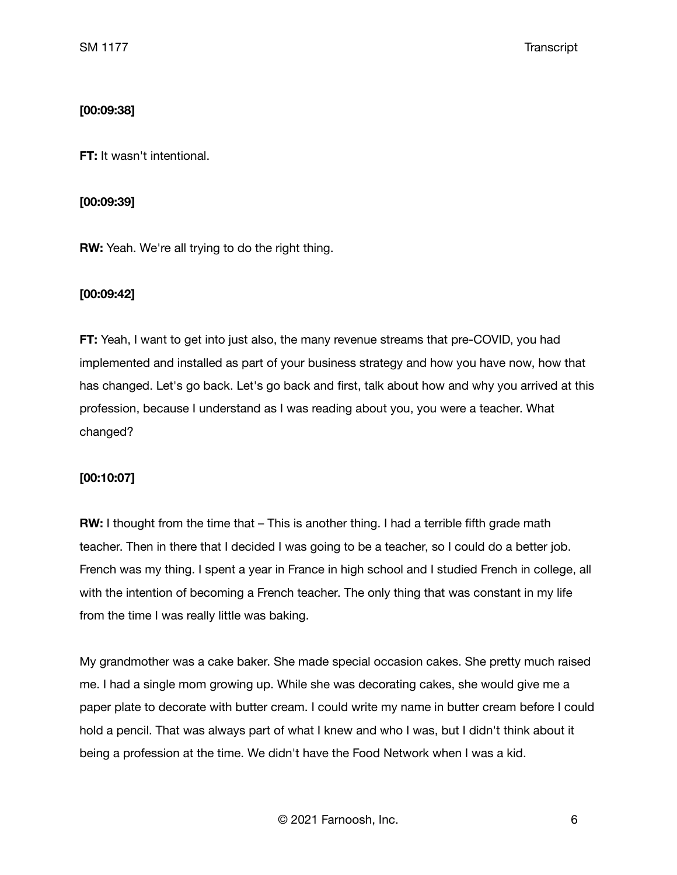## **[00:09:38]**

**FT:** It wasn't intentional.

## **[00:09:39]**

**RW:** Yeah. We're all trying to do the right thing.

## **[00:09:42]**

**FT:** Yeah, I want to get into just also, the many revenue streams that pre-COVID, you had implemented and installed as part of your business strategy and how you have now, how that has changed. Let's go back. Let's go back and first, talk about how and why you arrived at this profession, because I understand as I was reading about you, you were a teacher. What changed?

## **[00:10:07]**

**RW:** I thought from the time that – This is another thing. I had a terrible fifth grade math teacher. Then in there that I decided I was going to be a teacher, so I could do a better job. French was my thing. I spent a year in France in high school and I studied French in college, all with the intention of becoming a French teacher. The only thing that was constant in my life from the time I was really little was baking.

My grandmother was a cake baker. She made special occasion cakes. She pretty much raised me. I had a single mom growing up. While she was decorating cakes, she would give me a paper plate to decorate with butter cream. I could write my name in butter cream before I could hold a pencil. That was always part of what I knew and who I was, but I didn't think about it being a profession at the time. We didn't have the Food Network when I was a kid.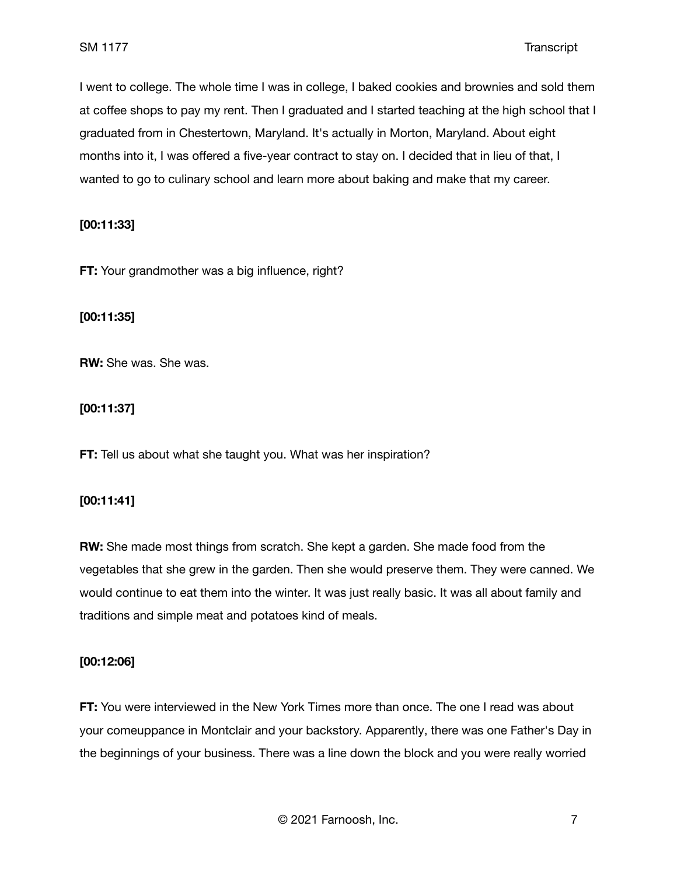I went to college. The whole time I was in college, I baked cookies and brownies and sold them at coffee shops to pay my rent. Then I graduated and I started teaching at the high school that I graduated from in Chestertown, Maryland. It's actually in Morton, Maryland. About eight months into it, I was offered a five-year contract to stay on. I decided that in lieu of that, I wanted to go to culinary school and learn more about baking and make that my career.

**[00:11:33]**

**FT:** Your grandmother was a big influence, right?

**[00:11:35]**

**RW:** She was. She was.

**[00:11:37]**

**FT:** Tell us about what she taught you. What was her inspiration?

### **[00:11:41]**

**RW:** She made most things from scratch. She kept a garden. She made food from the vegetables that she grew in the garden. Then she would preserve them. They were canned. We would continue to eat them into the winter. It was just really basic. It was all about family and traditions and simple meat and potatoes kind of meals.

## **[00:12:06]**

**FT:** You were interviewed in the New York Times more than once. The one I read was about your comeuppance in Montclair and your backstory. Apparently, there was one Father's Day in the beginnings of your business. There was a line down the block and you were really worried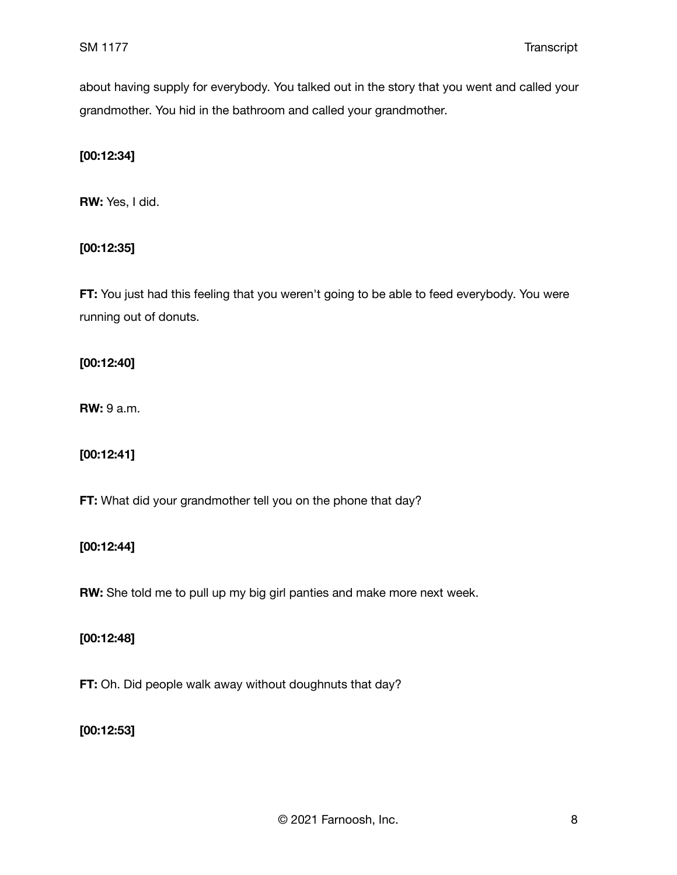about having supply for everybody. You talked out in the story that you went and called your grandmother. You hid in the bathroom and called your grandmother.

## **[00:12:34]**

**RW:** Yes, I did.

# **[00:12:35]**

**FT:** You just had this feeling that you weren't going to be able to feed everybody. You were running out of donuts.

## **[00:12:40]**

**RW:** 9 a.m.

# **[00:12:41]**

**FT:** What did your grandmother tell you on the phone that day?

## **[00:12:44]**

**RW:** She told me to pull up my big girl panties and make more next week.

## **[00:12:48]**

**FT:** Oh. Did people walk away without doughnuts that day?

# **[00:12:53]**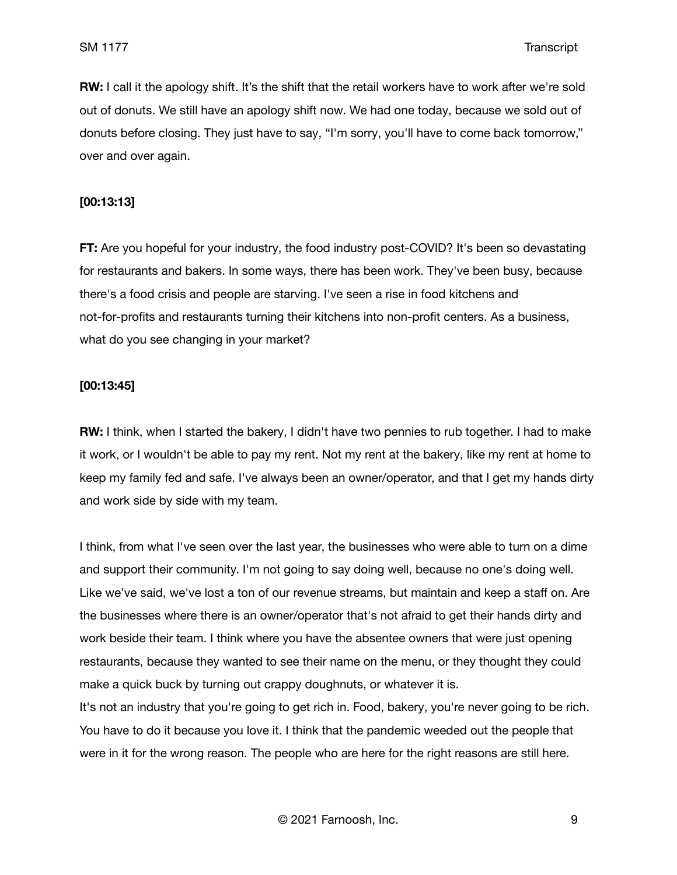**RW:** I call it the apology shift. It's the shift that the retail workers have to work after we're sold out of donuts. We still have an apology shift now. We had one today, because we sold out of donuts before closing. They just have to say, "I'm sorry, you'll have to come back tomorrow," over and over again.

### **[00:13:13]**

**FT:** Are you hopeful for your industry, the food industry post-COVID? It's been so devastating for restaurants and bakers. In some ways, there has been work. They've been busy, because there's a food crisis and people are starving. I've seen a rise in food kitchens and not-for-profits and restaurants turning their kitchens into non-profit centers. As a business, what do you see changing in your market?

#### **[00:13:45]**

**RW:** I think, when I started the bakery, I didn't have two pennies to rub together. I had to make it work, or I wouldn't be able to pay my rent. Not my rent at the bakery, like my rent at home to keep my family fed and safe. I've always been an owner/operator, and that I get my hands dirty and work side by side with my team.

I think, from what I've seen over the last year, the businesses who were able to turn on a dime and support their community. I'm not going to say doing well, because no one's doing well. Like we've said, we've lost a ton of our revenue streams, but maintain and keep a staff on. Are the businesses where there is an owner/operator that's not afraid to get their hands dirty and work beside their team. I think where you have the absentee owners that were just opening restaurants, because they wanted to see their name on the menu, or they thought they could make a quick buck by turning out crappy doughnuts, or whatever it is.

It's not an industry that you're going to get rich in. Food, bakery, you're never going to be rich. You have to do it because you love it. I think that the pandemic weeded out the people that were in it for the wrong reason. The people who are here for the right reasons are still here.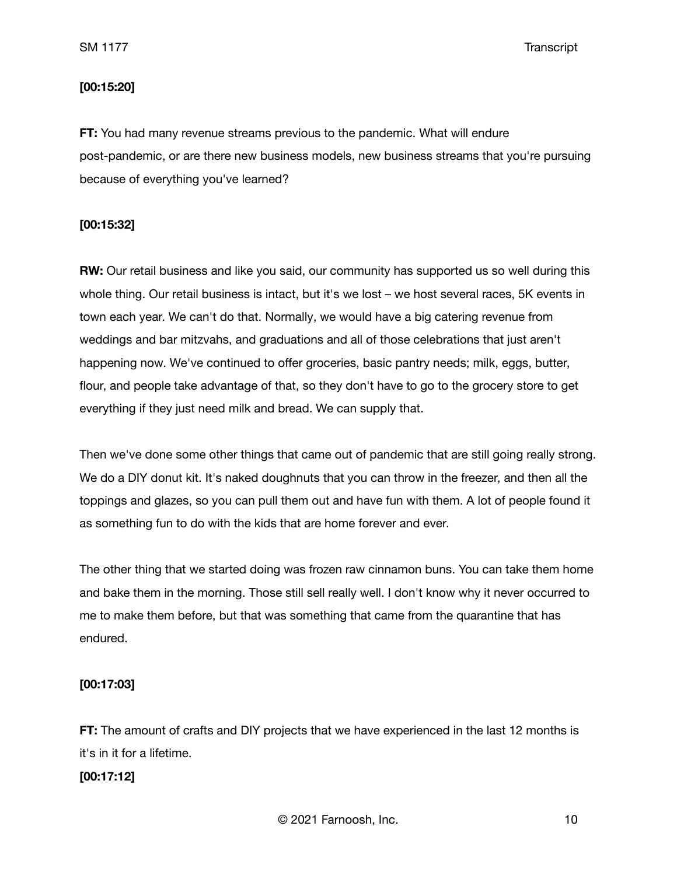### **[00:15:20]**

**FT:** You had many revenue streams previous to the pandemic. What will endure post-pandemic, or are there new business models, new business streams that you're pursuing because of everything you've learned?

## **[00:15:32]**

**RW:** Our retail business and like you said, our community has supported us so well during this whole thing. Our retail business is intact, but it's we lost – we host several races, 5K events in town each year. We can't do that. Normally, we would have a big catering revenue from weddings and bar mitzvahs, and graduations and all of those celebrations that just aren't happening now. We've continued to offer groceries, basic pantry needs; milk, eggs, butter, flour, and people take advantage of that, so they don't have to go to the grocery store to get everything if they just need milk and bread. We can supply that.

Then we've done some other things that came out of pandemic that are still going really strong. We do a DIY donut kit. It's naked doughnuts that you can throw in the freezer, and then all the toppings and glazes, so you can pull them out and have fun with them. A lot of people found it as something fun to do with the kids that are home forever and ever.

The other thing that we started doing was frozen raw cinnamon buns. You can take them home and bake them in the morning. Those still sell really well. I don't know why it never occurred to me to make them before, but that was something that came from the quarantine that has endured.

### **[00:17:03]**

**FT:** The amount of crafts and DIY projects that we have experienced in the last 12 months is it's in it for a lifetime.

### **[00:17:12]**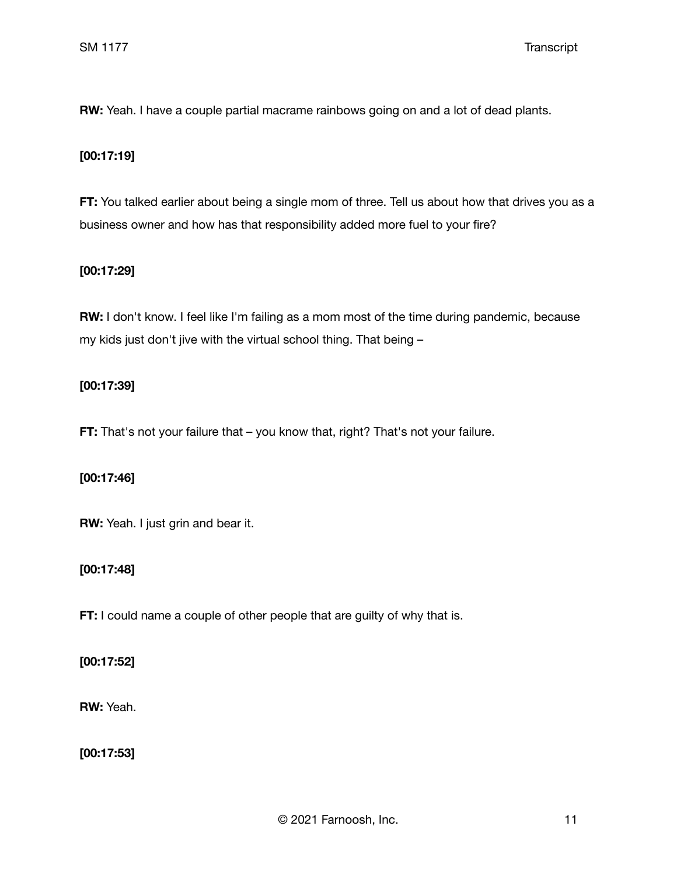**RW:** Yeah. I have a couple partial macrame rainbows going on and a lot of dead plants.

## **[00:17:19]**

**FT:** You talked earlier about being a single mom of three. Tell us about how that drives you as a business owner and how has that responsibility added more fuel to your fire?

## **[00:17:29]**

**RW:** I don't know. I feel like I'm failing as a mom most of the time during pandemic, because my kids just don't jive with the virtual school thing. That being –

## **[00:17:39]**

**FT:** That's not your failure that – you know that, right? That's not your failure.

## **[00:17:46]**

**RW:** Yeah. I just grin and bear it.

### **[00:17:48]**

**FT:** I could name a couple of other people that are guilty of why that is.

## **[00:17:52]**

**RW:** Yeah.

**[00:17:53]**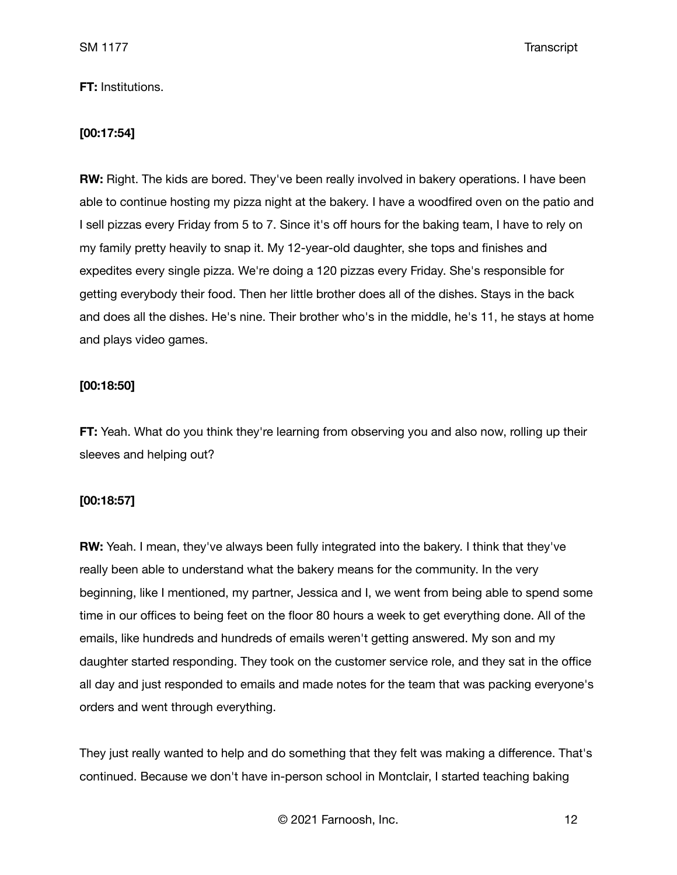### **FT:** Institutions.

### **[00:17:54]**

**RW:** Right. The kids are bored. They've been really involved in bakery operations. I have been able to continue hosting my pizza night at the bakery. I have a woodfired oven on the patio and I sell pizzas every Friday from 5 to 7. Since it's off hours for the baking team, I have to rely on my family pretty heavily to snap it. My 12-year-old daughter, she tops and finishes and expedites every single pizza. We're doing a 120 pizzas every Friday. She's responsible for getting everybody their food. Then her little brother does all of the dishes. Stays in the back and does all the dishes. He's nine. Their brother who's in the middle, he's 11, he stays at home and plays video games.

#### **[00:18:50]**

**FT:** Yeah. What do you think they're learning from observing you and also now, rolling up their sleeves and helping out?

#### **[00:18:57]**

**RW:** Yeah. I mean, they've always been fully integrated into the bakery. I think that they've really been able to understand what the bakery means for the community. In the very beginning, like I mentioned, my partner, Jessica and I, we went from being able to spend some time in our offices to being feet on the floor 80 hours a week to get everything done. All of the emails, like hundreds and hundreds of emails weren't getting answered. My son and my daughter started responding. They took on the customer service role, and they sat in the office all day and just responded to emails and made notes for the team that was packing everyone's orders and went through everything.

They just really wanted to help and do something that they felt was making a difference. That's continued. Because we don't have in-person school in Montclair, I started teaching baking

© 2021 Farnoosh, Inc. 12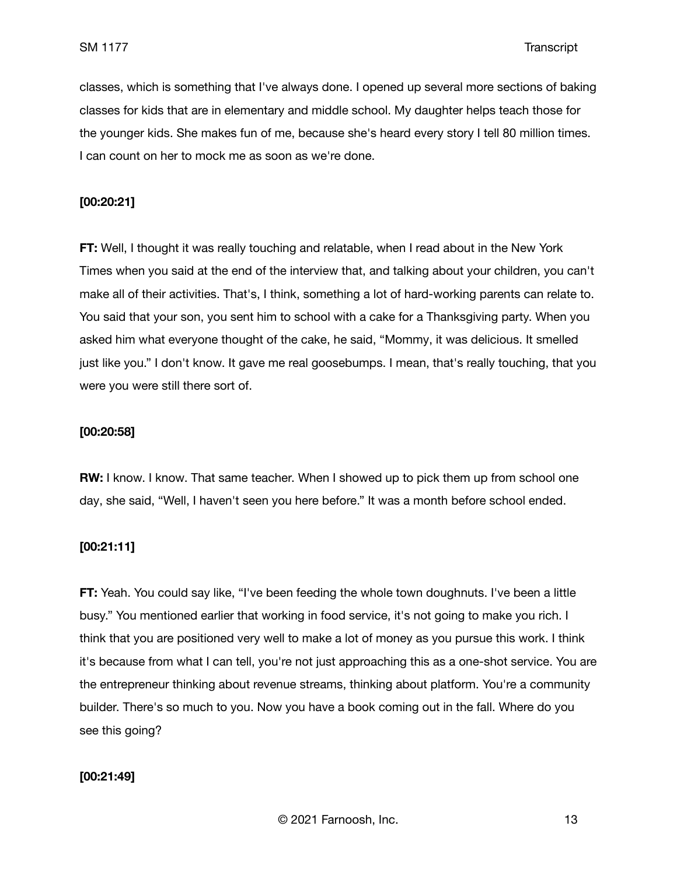classes, which is something that I've always done. I opened up several more sections of baking classes for kids that are in elementary and middle school. My daughter helps teach those for the younger kids. She makes fun of me, because she's heard every story I tell 80 million times. I can count on her to mock me as soon as we're done.

### **[00:20:21]**

**FT:** Well, I thought it was really touching and relatable, when I read about in the New York Times when you said at the end of the interview that, and talking about your children, you can't make all of their activities. That's, I think, something a lot of hard-working parents can relate to. You said that your son, you sent him to school with a cake for a Thanksgiving party. When you asked him what everyone thought of the cake, he said, "Mommy, it was delicious. It smelled just like you." I don't know. It gave me real goosebumps. I mean, that's really touching, that you were you were still there sort of.

#### **[00:20:58]**

**RW:** I know. I know. That same teacher. When I showed up to pick them up from school one day, she said, "Well, I haven't seen you here before." It was a month before school ended.

## **[00:21:11]**

**FT:** Yeah. You could say like, "I've been feeding the whole town doughnuts. I've been a little busy." You mentioned earlier that working in food service, it's not going to make you rich. I think that you are positioned very well to make a lot of money as you pursue this work. I think it's because from what I can tell, you're not just approaching this as a one-shot service. You are the entrepreneur thinking about revenue streams, thinking about platform. You're a community builder. There's so much to you. Now you have a book coming out in the fall. Where do you see this going?

#### **[00:21:49]**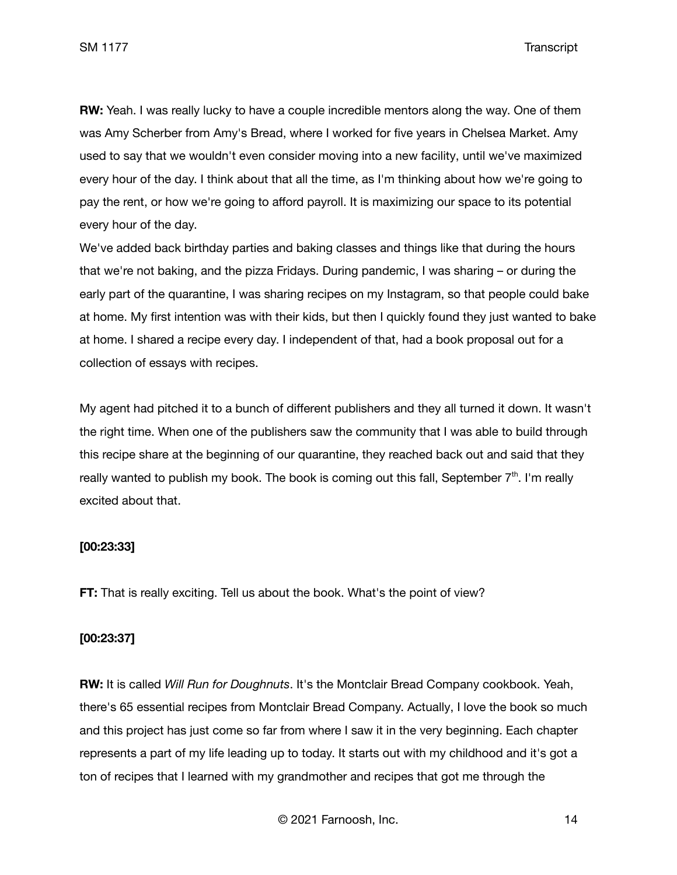**RW:** Yeah. I was really lucky to have a couple incredible mentors along the way. One of them was Amy Scherber from Amy's Bread, where I worked for five years in Chelsea Market. Amy used to say that we wouldn't even consider moving into a new facility, until we've maximized every hour of the day. I think about that all the time, as I'm thinking about how we're going to pay the rent, or how we're going to afford payroll. It is maximizing our space to its potential every hour of the day.

We've added back birthday parties and baking classes and things like that during the hours that we're not baking, and the pizza Fridays. During pandemic, I was sharing – or during the early part of the quarantine, I was sharing recipes on my Instagram, so that people could bake at home. My first intention was with their kids, but then I quickly found they just wanted to bake at home. I shared a recipe every day. I independent of that, had a book proposal out for a collection of essays with recipes.

My agent had pitched it to a bunch of different publishers and they all turned it down. It wasn't the right time. When one of the publishers saw the community that I was able to build through this recipe share at the beginning of our quarantine, they reached back out and said that they really wanted to publish my book. The book is coming out this fall, September  $7<sup>th</sup>$ . I'm really excited about that.

## **[00:23:33]**

**FT:** That is really exciting. Tell us about the book. What's the point of view?

#### **[00:23:37]**

**RW:** It is called *Will Run for Doughnuts*. It's the Montclair Bread Company cookbook. Yeah, there's 65 essential recipes from Montclair Bread Company. Actually, I love the book so much and this project has just come so far from where I saw it in the very beginning. Each chapter represents a part of my life leading up to today. It starts out with my childhood and it's got a ton of recipes that I learned with my grandmother and recipes that got me through the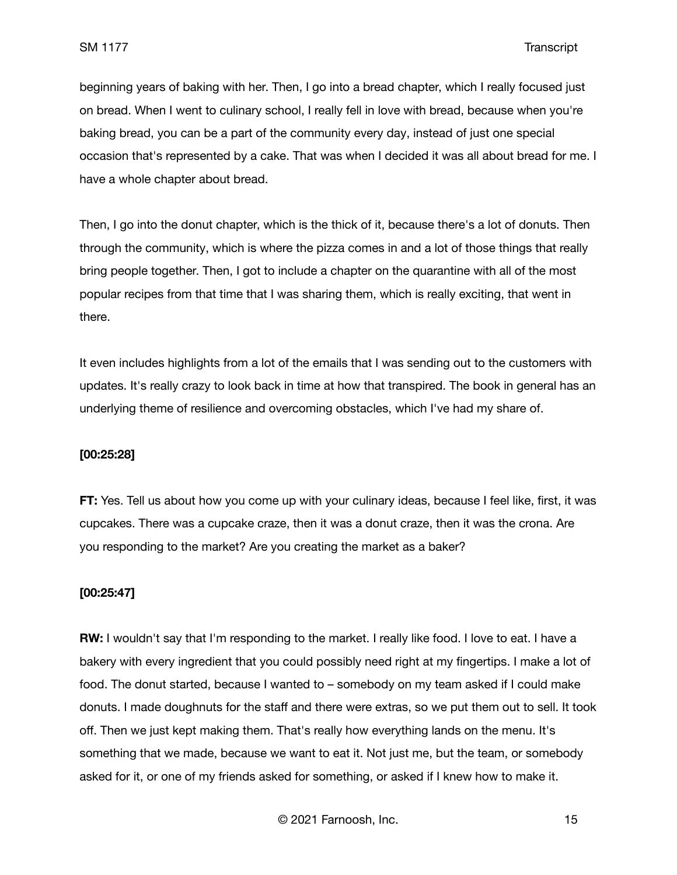beginning years of baking with her. Then, I go into a bread chapter, which I really focused just on bread. When I went to culinary school, I really fell in love with bread, because when you're baking bread, you can be a part of the community every day, instead of just one special occasion that's represented by a cake. That was when I decided it was all about bread for me. I have a whole chapter about bread.

Then, I go into the donut chapter, which is the thick of it, because there's a lot of donuts. Then through the community, which is where the pizza comes in and a lot of those things that really bring people together. Then, I got to include a chapter on the quarantine with all of the most popular recipes from that time that I was sharing them, which is really exciting, that went in there.

It even includes highlights from a lot of the emails that I was sending out to the customers with updates. It's really crazy to look back in time at how that transpired. The book in general has an underlying theme of resilience and overcoming obstacles, which I've had my share of.

#### **[00:25:28]**

**FT:** Yes. Tell us about how you come up with your culinary ideas, because I feel like, first, it was cupcakes. There was a cupcake craze, then it was a donut craze, then it was the crona. Are you responding to the market? Are you creating the market as a baker?

### **[00:25:47]**

**RW:** I wouldn't say that I'm responding to the market. I really like food. I love to eat. I have a bakery with every ingredient that you could possibly need right at my fingertips. I make a lot of food. The donut started, because I wanted to – somebody on my team asked if I could make donuts. I made doughnuts for the staff and there were extras, so we put them out to sell. It took off. Then we just kept making them. That's really how everything lands on the menu. It's something that we made, because we want to eat it. Not just me, but the team, or somebody asked for it, or one of my friends asked for something, or asked if I knew how to make it.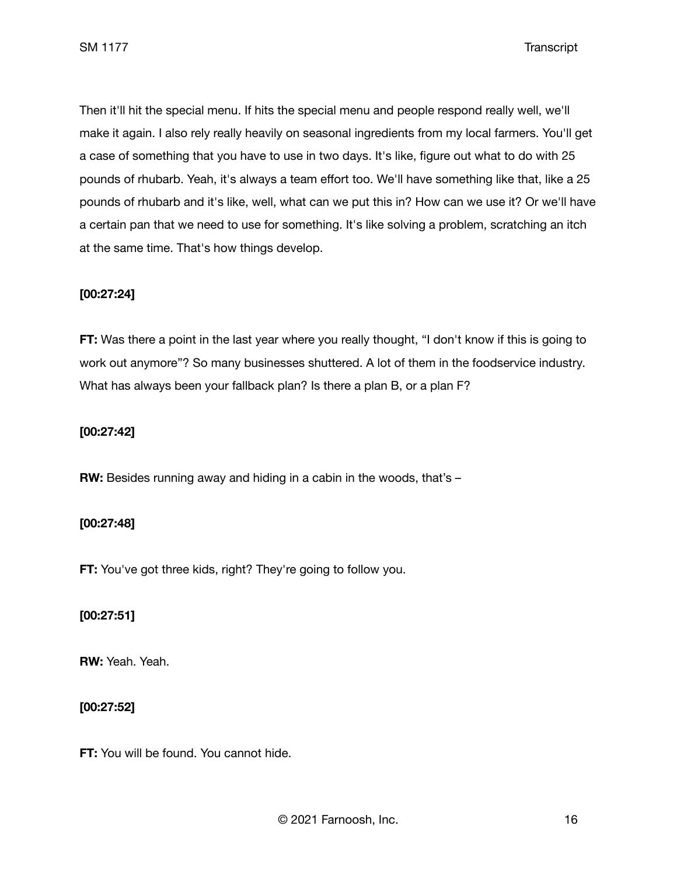Then it'll hit the special menu. If hits the special menu and people respond really well, we'll make it again. I also rely really heavily on seasonal ingredients from my local farmers. You'll get a case of something that you have to use in two days. It's like, figure out what to do with 25 pounds of rhubarb. Yeah, it's always a team effort too. We'll have something like that, like a 25 pounds of rhubarb and it's like, well, what can we put this in? How can we use it? Or we'll have a certain pan that we need to use for something. It's like solving a problem, scratching an itch at the same time. That's how things develop.

## **[00:27:24]**

**FT:** Was there a point in the last year where you really thought, "I don't know if this is going to work out anymore"? So many businesses shuttered. A lot of them in the foodservice industry. What has always been your fallback plan? Is there a plan B, or a plan F?

### **[00:27:42]**

**RW:** Besides running away and hiding in a cabin in the woods, that's –

## **[00:27:48]**

**FT:** You've got three kids, right? They're going to follow you.

### **[00:27:51]**

**RW:** Yeah. Yeah.

### **[00:27:52]**

**FT:** You will be found. You cannot hide.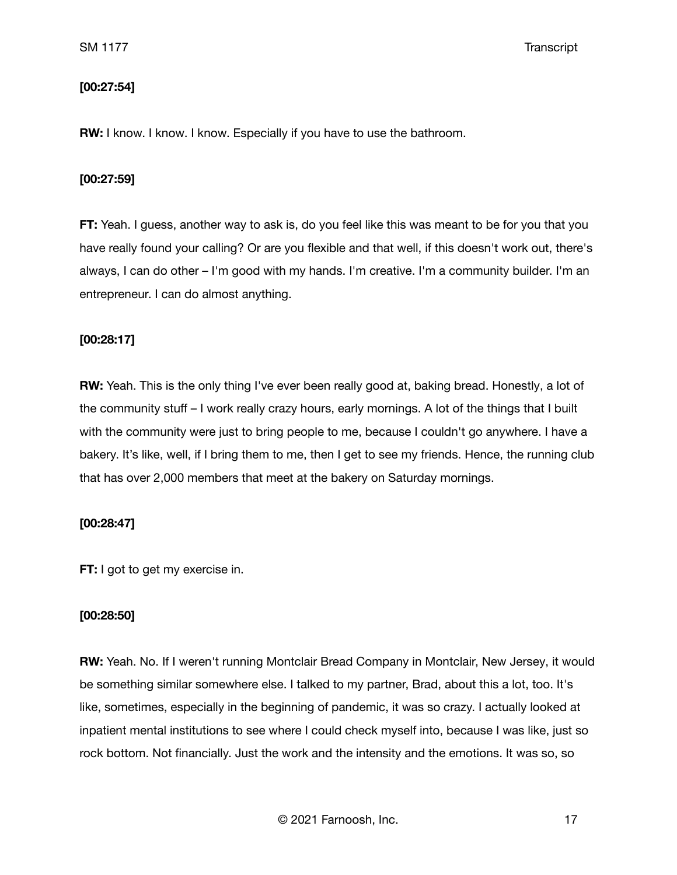## **[00:27:54]**

**RW:** I know. I know. I know. Especially if you have to use the bathroom.

#### **[00:27:59]**

**FT:** Yeah. I guess, another way to ask is, do you feel like this was meant to be for you that you have really found your calling? Or are you flexible and that well, if this doesn't work out, there's always, I can do other – I'm good with my hands. I'm creative. I'm a community builder. I'm an entrepreneur. I can do almost anything.

### **[00:28:17]**

**RW:** Yeah. This is the only thing I've ever been really good at, baking bread. Honestly, a lot of the community stuff – I work really crazy hours, early mornings. A lot of the things that I built with the community were just to bring people to me, because I couldn't go anywhere. I have a bakery. It's like, well, if I bring them to me, then I get to see my friends. Hence, the running club that has over 2,000 members that meet at the bakery on Saturday mornings.

### **[00:28:47]**

**FT:** I got to get my exercise in.

#### **[00:28:50]**

**RW:** Yeah. No. If I weren't running Montclair Bread Company in Montclair, New Jersey, it would be something similar somewhere else. I talked to my partner, Brad, about this a lot, too. It's like, sometimes, especially in the beginning of pandemic, it was so crazy. I actually looked at inpatient mental institutions to see where I could check myself into, because I was like, just so rock bottom. Not financially. Just the work and the intensity and the emotions. It was so, so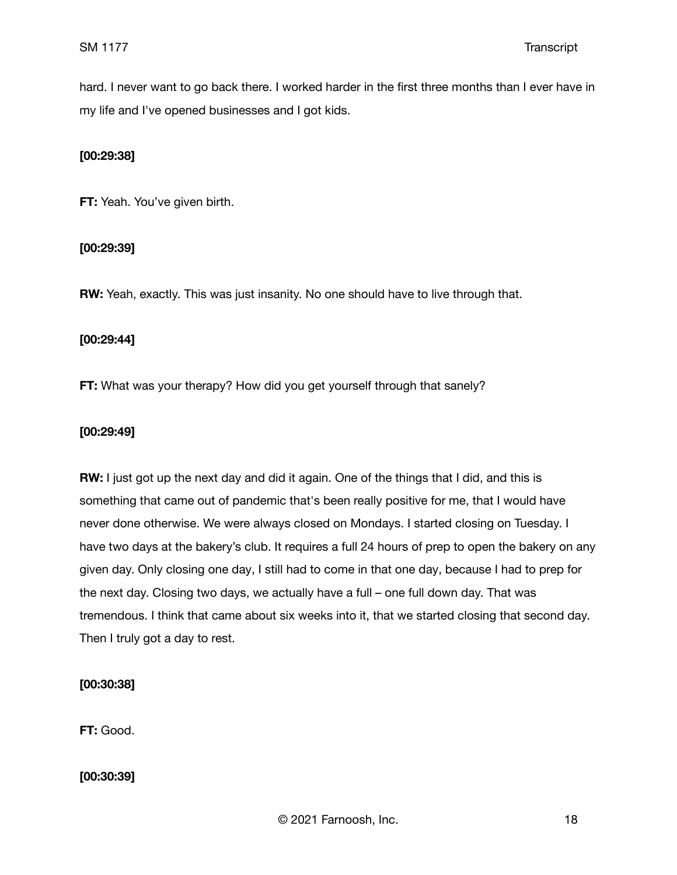hard. I never want to go back there. I worked harder in the first three months than I ever have in my life and I've opened businesses and I got kids.

## **[00:29:38]**

**FT:** Yeah. You've given birth.

### **[00:29:39]**

**RW:** Yeah, exactly. This was just insanity. No one should have to live through that.

#### **[00:29:44]**

**FT:** What was your therapy? How did you get yourself through that sanely?

#### **[00:29:49]**

**RW:** I just got up the next day and did it again. One of the things that I did, and this is something that came out of pandemic that's been really positive for me, that I would have never done otherwise. We were always closed on Mondays. I started closing on Tuesday. I have two days at the bakery's club. It requires a full 24 hours of prep to open the bakery on any given day. Only closing one day, I still had to come in that one day, because I had to prep for the next day. Closing two days, we actually have a full – one full down day. That was tremendous. I think that came about six weeks into it, that we started closing that second day. Then I truly got a day to rest.

### **[00:30:38]**

**FT:** Good.

**[00:30:39]**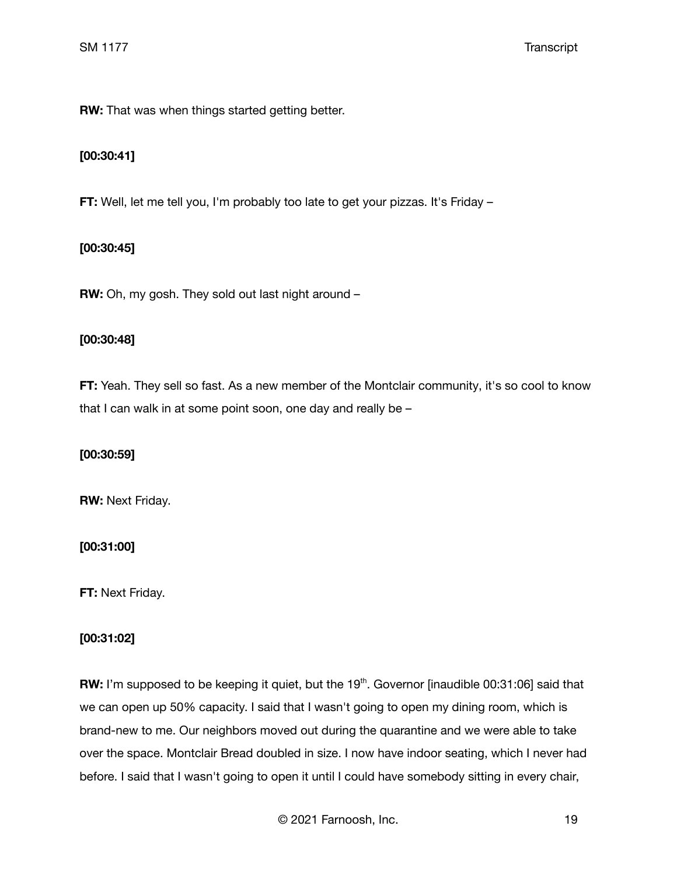**RW:** That was when things started getting better.

## **[00:30:41]**

**FT:** Well, let me tell you, I'm probably too late to get your pizzas. It's Friday –

## **[00:30:45]**

**RW:** Oh, my gosh. They sold out last night around –

### **[00:30:48]**

**FT:** Yeah. They sell so fast. As a new member of the Montclair community, it's so cool to know that I can walk in at some point soon, one day and really be –

### **[00:30:59]**

**RW:** Next Friday.

## **[00:31:00]**

**FT:** Next Friday.

## **[00:31:02]**

RW: I'm supposed to be keeping it quiet, but the 19<sup>th</sup>. Governor [inaudible 00:31:06] said that we can open up 50% capacity. I said that I wasn't going to open my dining room, which is brand-new to me. Our neighbors moved out during the quarantine and we were able to take over the space. Montclair Bread doubled in size. I now have indoor seating, which I never had before. I said that I wasn't going to open it until I could have somebody sitting in every chair,